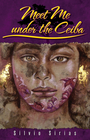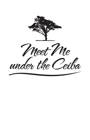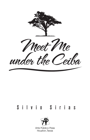

# Silvio Sirias



Arte Público Press Houston, Texas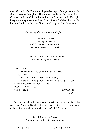*Meet Me Under the Ceiba* is made possible in part from grants from the city of Houston through the Houston Arts Alliance, the University of California at Irvine Chicano/Latino Literary Prize, and by the Exemplar Program, a program of Americans for the Arts in Collaboration with the LarsonAllen Public Services Group, funded by the Ford Foundation.

*Recovering the past, creating the future*

Arte Público Press University of Houston 452 Cullen Performance Hall Houston, Texas 77204-2004

#### Cover illustration by Esperanza Gama Cover design by Mora Des!gn

Sirias, Silvio Meet Me Under the Ceiba / by Silvio Sirias. p. cm. ISBN 1-55885-592-2 (pbk. : alk. paper) 1. Murder—Investigation—Fiction. 2. Nicaragua—Social life and customs—Fiction. I. Title. PS3619.I75M44 2009 813'.6—dc22 2009036688 CIP

The paper used in this publication meets the requirements of the American National Standard for Information Sciences—Permanence of Paper for Printed Library Materials, ANSI Z39.48-1984.

> © 2009 by Silvio Sirias Printed in the United States of America

9 0 1 2 3 4 5 6 7 8 10 9 8 7 6 5 4 3 2 1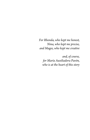*For Rhonda, who kept me honest, Nina, who kept me precise, and Magee, who kept me creative*

*and, of course, for María Auxiliadora Pavón, who is at the heart of this story*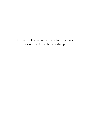This work of fiction was inspired by a true story described in the author's postscript.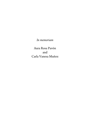*In memoriam*

Aura Rosa Pavón and Carla Vanesa Muñoz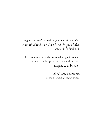*. . . ninguno de nosotros podíaseguir viviendosin saber con exactitud cuál erael sitioy la misión que le había asignadolafatalidad.*

(... none of us could continue living without an exact knowledge of the place and mission assigned to us by fate.)

> —Gabriel García Márquez *Crónica de una muerteanunciada*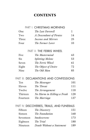## **CONTENTS**

## PART I: CHRISTMAS MORNING

| One   | The Last Farewell       |    |
|-------|-------------------------|----|
| Two   | A Descendant of Pirates | 14 |
| Three | Incense and Mirrors     | 25 |
| Four  | The Former Lover        | 33 |

#### PART II: THE FERRIS WHEEL

| Five  | The Mastermind          | 43 |
|-------|-------------------------|----|
| Six   | <b>Splitting Melons</b> | 53 |
| Seven | The Ferris Wheel        | 61 |
| Eight | The Object of Desire    | 72 |
| Nine  | The Old Man             | 85 |

## PART III: DECLARATIONS AND CONFESSIONS

| Ten      | The Messenger              | 101 |
|----------|----------------------------|-----|
| Eleven   | The Threat                 | 111 |
| Twelve   | The Arrangement            | 118 |
| Thirteen | No Harm in Killing a Freak | 128 |
| Fourteen | The Marriage               | 137 |

## PART IV: DISCOVERIES, TRIALS, AND FUNERALS

| Fifteen   | The Discovery             | 151 |
|-----------|---------------------------|-----|
| Sixteen   | The Foundation            | 160 |
| Seventeen | <b>Smokescreens</b>       | 173 |
| Eighteen  | The Trial                 | 180 |
| Nineteen  | Death Without a Statement | 189 |